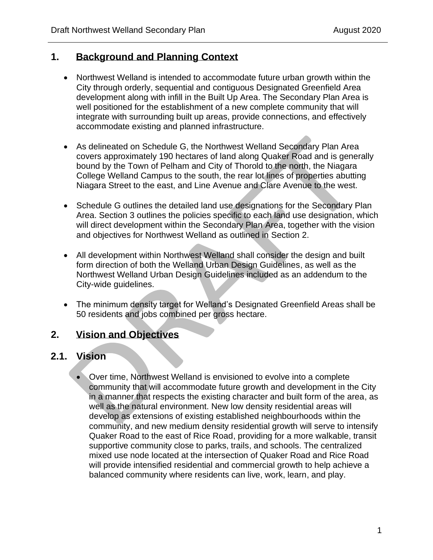## **1. Background and Planning Context**

- Northwest Welland is intended to accommodate future urban growth within the City through orderly, sequential and contiguous Designated Greenfield Area development along with infill in the Built Up Area. The Secondary Plan Area is well positioned for the establishment of a new complete community that will integrate with surrounding built up areas, provide connections, and effectively accommodate existing and planned infrastructure.
- As delineated on Schedule G, the Northwest Welland Secondary Plan Area covers approximately 190 hectares of land along Quaker Road and is generally bound by the Town of Pelham and City of Thorold to the north, the Niagara College Welland Campus to the south, the rear lot lines of properties abutting Niagara Street to the east, and Line Avenue and Clare Avenue to the west.
- Schedule G outlines the detailed land use designations for the Secondary Plan Area. Section 3 outlines the policies specific to each land use designation, which will direct development within the Secondary Plan Area, together with the vision and objectives for Northwest Welland as outlined in Section 2.
- All development within Northwest Welland shall consider the design and built form direction of both the Welland Urban Design Guidelines, as well as the Northwest Welland Urban Design Guidelines included as an addendum to the City-wide guidelines.
- The minimum density target for Welland's Designated Greenfield Areas shall be 50 residents and jobs combined per gross hectare.

## **2. Vision and Objectives**

### **2.1. Vision**

• Over time, Northwest Welland is envisioned to evolve into a complete community that will accommodate future growth and development in the City in a manner that respects the existing character and built form of the area, as well as the natural environment. New low density residential areas will develop as extensions of existing established neighbourhoods within the community, and new medium density residential growth will serve to intensify Quaker Road to the east of Rice Road, providing for a more walkable, transit supportive community close to parks, trails, and schools. The centralized mixed use node located at the intersection of Quaker Road and Rice Road will provide intensified residential and commercial growth to help achieve a balanced community where residents can live, work, learn, and play.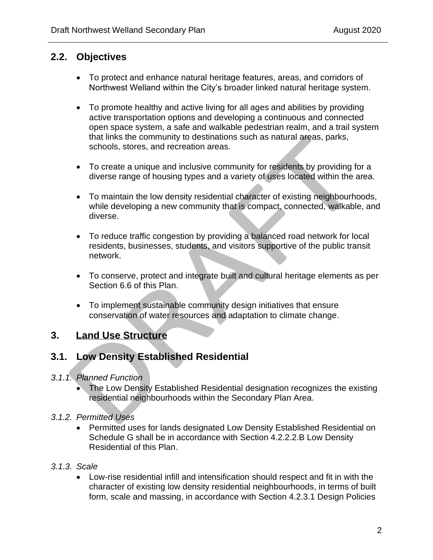## **2.2. Objectives**

- To protect and enhance natural heritage features, areas, and corridors of Northwest Welland within the City's broader linked natural heritage system.
- To promote healthy and active living for all ages and abilities by providing active transportation options and developing a continuous and connected open space system, a safe and walkable pedestrian realm, and a trail system that links the community to destinations such as natural areas, parks, schools, stores, and recreation areas.
- To create a unique and inclusive community for residents by providing for a diverse range of housing types and a variety of uses located within the area.
- To maintain the low density residential character of existing neighbourhoods, while developing a new community that is compact, connected, walkable, and diverse.
- To reduce traffic congestion by providing a balanced road network for local residents, businesses, students, and visitors supportive of the public transit network.
- To conserve, protect and integrate built and cultural heritage elements as per Section 6.6 of this Plan.
- To implement sustainable community design initiatives that ensure conservation of water resources and adaptation to climate change.

## **3. Land Use Structure**

## **3.1. Low Density Established Residential**

### *3.1.1. Planned Function*

- The Low Density Established Residential designation recognizes the existing residential neighbourhoods within the Secondary Plan Area.
- *3.1.2. Permitted Uses*
	- Permitted uses for lands designated Low Density Established Residential on Schedule G shall be in accordance with Section 4.2.2.2.B Low Density Residential of this Plan.
- *3.1.3. Scale*
	- Low-rise residential infill and intensification should respect and fit in with the character of existing low density residential neighbourhoods, in terms of built form, scale and massing, in accordance with Section 4.2.3.1 Design Policies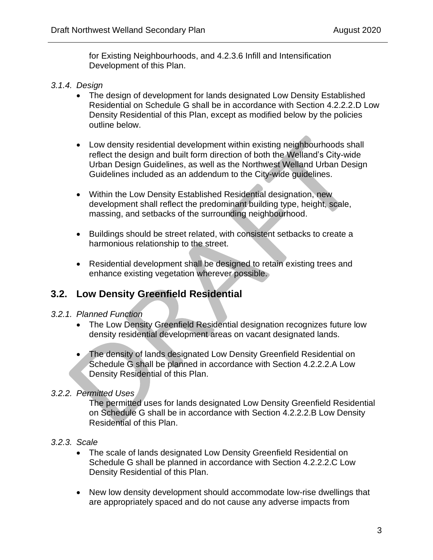for Existing Neighbourhoods, and 4.2.3.6 Infill and Intensification Development of this Plan.

#### *3.1.4. Design*

- The design of development for lands designated Low Density Established Residential on Schedule G shall be in accordance with Section 4.2.2.2.D Low Density Residential of this Plan, except as modified below by the policies outline below.
- Low density residential development within existing neighbourhoods shall reflect the design and built form direction of both the Welland's City-wide Urban Design Guidelines, as well as the Northwest Welland Urban Design Guidelines included as an addendum to the City-wide guidelines.
- Within the Low Density Established Residential designation, new development shall reflect the predominant building type, height, scale, massing, and setbacks of the surrounding neighbourhood.
- Buildings should be street related, with consistent setbacks to create a harmonious relationship to the street.
- Residential development shall be designed to retain existing trees and enhance existing vegetation wherever possible.

### **3.2. Low Density Greenfield Residential**

#### *3.2.1. Planned Function*

- The Low Density Greenfield Residential designation recognizes future low density residential development areas on vacant designated lands.
- The density of lands designated Low Density Greenfield Residential on Schedule G shall be planned in accordance with Section 4.2.2.2.A Low Density Residential of this Plan.

### *3.2.2. Permitted Uses*

The permitted uses for lands designated Low Density Greenfield Residential on Schedule G shall be in accordance with Section 4.2.2.2.B Low Density Residential of this Plan.

#### *3.2.3. Scale*

- The scale of lands designated Low Density Greenfield Residential on Schedule G shall be planned in accordance with Section 4.2.2.2.C Low Density Residential of this Plan.
- New low density development should accommodate low-rise dwellings that are appropriately spaced and do not cause any adverse impacts from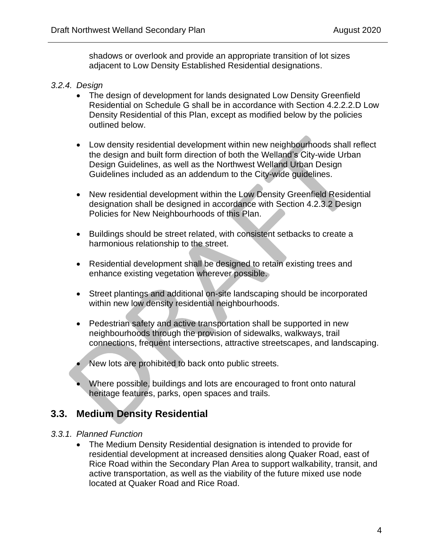shadows or overlook and provide an appropriate transition of lot sizes adjacent to Low Density Established Residential designations.

#### *3.2.4. Design*

- The design of development for lands designated Low Density Greenfield Residential on Schedule G shall be in accordance with Section 4.2.2.2.D Low Density Residential of this Plan, except as modified below by the policies outlined below.
- Low density residential development within new neighbourhoods shall reflect the design and built form direction of both the Welland's City-wide Urban Design Guidelines, as well as the Northwest Welland Urban Design Guidelines included as an addendum to the City-wide guidelines.
- New residential development within the Low Density Greenfield Residential designation shall be designed in accordance with Section 4.2.3.2 Design Policies for New Neighbourhoods of this Plan.
- Buildings should be street related, with consistent setbacks to create a harmonious relationship to the street.
- Residential development shall be designed to retain existing trees and enhance existing vegetation wherever possible.
- Street plantings and additional on-site landscaping should be incorporated within new low density residential neighbourhoods.
- Pedestrian safety and active transportation shall be supported in new neighbourhoods through the provision of sidewalks, walkways, trail connections, frequent intersections, attractive streetscapes, and landscaping.
- New lots are prohibited to back onto public streets.
- Where possible, buildings and lots are encouraged to front onto natural heritage features, parks, open spaces and trails.

## **3.3. Medium Density Residential**

#### *3.3.1. Planned Function*

• The Medium Density Residential designation is intended to provide for residential development at increased densities along Quaker Road, east of Rice Road within the Secondary Plan Area to support walkability, transit, and active transportation, as well as the viability of the future mixed use node located at Quaker Road and Rice Road.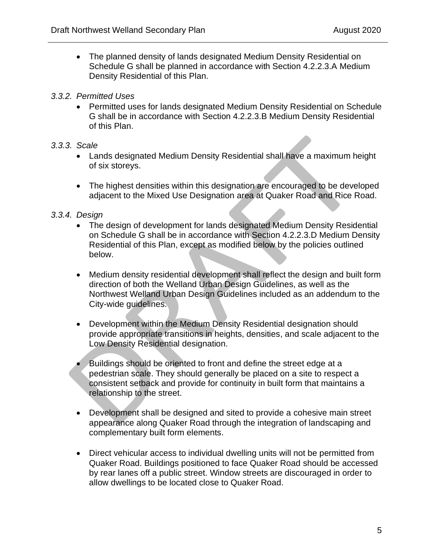• The planned density of lands designated Medium Density Residential on Schedule G shall be planned in accordance with Section 4.2.2.3.A Medium Density Residential of this Plan.

#### *3.3.2. Permitted Uses*

• Permitted uses for lands designated Medium Density Residential on Schedule G shall be in accordance with Section 4.2.2.3.B Medium Density Residential of this Plan.

#### *3.3.3. Scale*

- Lands designated Medium Density Residential shall have a maximum height of six storeys.
- The highest densities within this designation are encouraged to be developed adjacent to the Mixed Use Designation area at Quaker Road and Rice Road.

### *3.3.4. Design*

- The design of development for lands designated Medium Density Residential on Schedule G shall be in accordance with Section 4.2.2.3.D Medium Density Residential of this Plan, except as modified below by the policies outlined below.
- Medium density residential development shall reflect the design and built form direction of both the Welland Urban Design Guidelines, as well as the Northwest Welland Urban Design Guidelines included as an addendum to the City-wide guidelines.
- Development within the Medium Density Residential designation should provide appropriate transitions in heights, densities, and scale adjacent to the Low Density Residential designation.
- Buildings should be oriented to front and define the street edge at a pedestrian scale. They should generally be placed on a site to respect a consistent setback and provide for continuity in built form that maintains a relationship to the street.
- Development shall be designed and sited to provide a cohesive main street appearance along Quaker Road through the integration of landscaping and complementary built form elements.
- Direct vehicular access to individual dwelling units will not be permitted from Quaker Road. Buildings positioned to face Quaker Road should be accessed by rear lanes off a public street. Window streets are discouraged in order to allow dwellings to be located close to Quaker Road.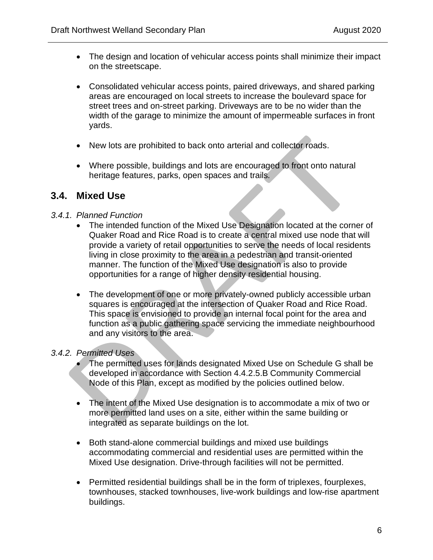- The design and location of vehicular access points shall minimize their impact on the streetscape.
- Consolidated vehicular access points, paired driveways, and shared parking areas are encouraged on local streets to increase the boulevard space for street trees and on-street parking. Driveways are to be no wider than the width of the garage to minimize the amount of impermeable surfaces in front yards.
- New lots are prohibited to back onto arterial and collector roads.
- Where possible, buildings and lots are encouraged to front onto natural heritage features, parks, open spaces and trails.

### **3.4. Mixed Use**

#### *3.4.1. Planned Function*

- The intended function of the Mixed Use Designation located at the corner of Quaker Road and Rice Road is to create a central mixed use node that will provide a variety of retail opportunities to serve the needs of local residents living in close proximity to the area in a pedestrian and transit-oriented manner. The function of the Mixed Use designation is also to provide opportunities for a range of higher density residential housing.
- The development of one or more privately-owned publicly accessible urban squares is encouraged at the intersection of Quaker Road and Rice Road. This space is envisioned to provide an internal focal point for the area and function as a public gathering space servicing the immediate neighbourhood and any visitors to the area.

### *3.4.2. Permitted Uses*

- The permitted uses for lands designated Mixed Use on Schedule G shall be developed in accordance with Section 4.4.2.5.B Community Commercial Node of this Plan, except as modified by the policies outlined below.
- The intent of the Mixed Use designation is to accommodate a mix of two or more permitted land uses on a site, either within the same building or integrated as separate buildings on the lot.
- Both stand-alone commercial buildings and mixed use buildings accommodating commercial and residential uses are permitted within the Mixed Use designation. Drive-through facilities will not be permitted.
- Permitted residential buildings shall be in the form of triplexes, fourplexes, townhouses, stacked townhouses, live-work buildings and low-rise apartment buildings.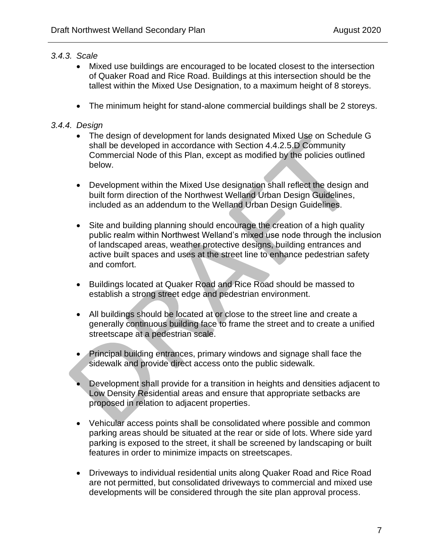### *3.4.3. Scale*

- Mixed use buildings are encouraged to be located closest to the intersection of Quaker Road and Rice Road. Buildings at this intersection should be the tallest within the Mixed Use Designation, to a maximum height of 8 storeys.
- The minimum height for stand-alone commercial buildings shall be 2 storeys.

### *3.4.4. Design*

- The design of development for lands designated Mixed Use on Schedule G shall be developed in accordance with Section 4.4.2.5.D Community Commercial Node of this Plan, except as modified by the policies outlined below.
- Development within the Mixed Use designation shall reflect the design and built form direction of the Northwest Welland Urban Design Guidelines, included as an addendum to the Welland Urban Design Guidelines.
- Site and building planning should encourage the creation of a high quality public realm within Northwest Welland's mixed use node through the inclusion of landscaped areas, weather protective designs, building entrances and active built spaces and uses at the street line to enhance pedestrian safety and comfort.
- Buildings located at Quaker Road and Rice Road should be massed to establish a strong street edge and pedestrian environment.
- All buildings should be located at or close to the street line and create a generally continuous building face to frame the street and to create a unified streetscape at a pedestrian scale.
- Principal building entrances, primary windows and signage shall face the sidewalk and provide direct access onto the public sidewalk.
- Development shall provide for a transition in heights and densities adjacent to Low Density Residential areas and ensure that appropriate setbacks are proposed in relation to adjacent properties.
- Vehicular access points shall be consolidated where possible and common parking areas should be situated at the rear or side of lots. Where side yard parking is exposed to the street, it shall be screened by landscaping or built features in order to minimize impacts on streetscapes.
- Driveways to individual residential units along Quaker Road and Rice Road are not permitted, but consolidated driveways to commercial and mixed use developments will be considered through the site plan approval process.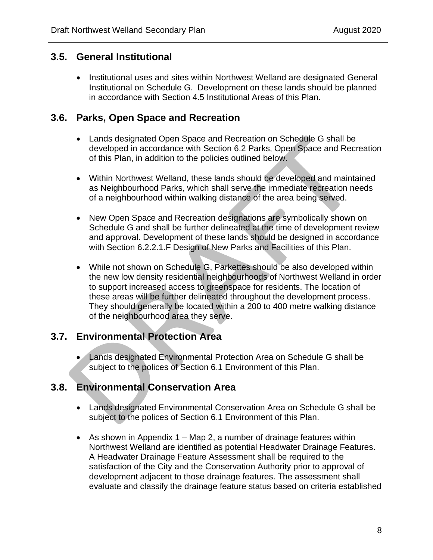### **3.5. General Institutional**

• Institutional uses and sites within Northwest Welland are designated General Institutional on Schedule G. Development on these lands should be planned in accordance with Section 4.5 Institutional Areas of this Plan.

### **3.6. Parks, Open Space and Recreation**

- Lands designated Open Space and Recreation on Schedule G shall be developed in accordance with Section 6.2 Parks, Open Space and Recreation of this Plan, in addition to the policies outlined below.
- Within Northwest Welland, these lands should be developed and maintained as Neighbourhood Parks, which shall serve the immediate recreation needs of a neighbourhood within walking distance of the area being served.
- New Open Space and Recreation designations are symbolically shown on Schedule G and shall be further delineated at the time of development review and approval. Development of these lands should be designed in accordance with Section 6.2.2.1.F Design of New Parks and Facilities of this Plan.
- While not shown on Schedule G, Parkettes should be also developed within the new low density residential neighbourhoods of Northwest Welland in order to support increased access to greenspace for residents. The location of these areas will be further delineated throughout the development process. They should generally be located within a 200 to 400 metre walking distance of the neighbourhood area they serve.

## **3.7. Environmental Protection Area**

• Lands designated Environmental Protection Area on Schedule G shall be subject to the polices of Section 6.1 Environment of this Plan.

## **3.8. Environmental Conservation Area**

- Lands designated Environmental Conservation Area on Schedule G shall be subject to the polices of Section 6.1 Environment of this Plan.
- As shown in Appendix  $1 Map 2$ , a number of drainage features within Northwest Welland are identified as potential Headwater Drainage Features. A Headwater Drainage Feature Assessment shall be required to the satisfaction of the City and the Conservation Authority prior to approval of development adjacent to those drainage features. The assessment shall evaluate and classify the drainage feature status based on criteria established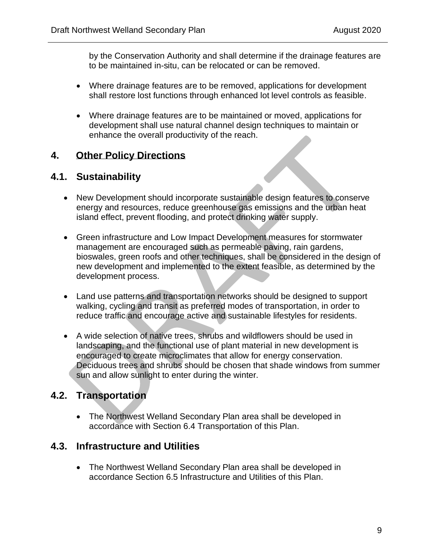by the Conservation Authority and shall determine if the drainage features are to be maintained in-situ, can be relocated or can be removed.

- Where drainage features are to be removed, applications for development shall restore lost functions through enhanced lot level controls as feasible.
- Where drainage features are to be maintained or moved, applications for development shall use natural channel design techniques to maintain or enhance the overall productivity of the reach.

## **4. Other Policy Directions**

## **4.1. Sustainability**

- New Development should incorporate sustainable design features to conserve energy and resources, reduce greenhouse gas emissions and the urban heat island effect, prevent flooding, and protect drinking water supply.
- Green infrastructure and Low Impact Development measures for stormwater management are encouraged such as permeable paving, rain gardens, bioswales, green roofs and other techniques, shall be considered in the design of new development and implemented to the extent feasible, as determined by the development process.
- Land use patterns and transportation networks should be designed to support walking, cycling and transit as preferred modes of transportation, in order to reduce traffic and encourage active and sustainable lifestyles for residents.
- A wide selection of native trees, shrubs and wildflowers should be used in landscaping, and the functional use of plant material in new development is encouraged to create microclimates that allow for energy conservation. Deciduous trees and shrubs should be chosen that shade windows from summer sun and allow sunlight to enter during the winter.

## **4.2. Transportation**

• The Northwest Welland Secondary Plan area shall be developed in accordance with Section 6.4 Transportation of this Plan.

## **4.3. Infrastructure and Utilities**

• The Northwest Welland Secondary Plan area shall be developed in accordance Section 6.5 Infrastructure and Utilities of this Plan.